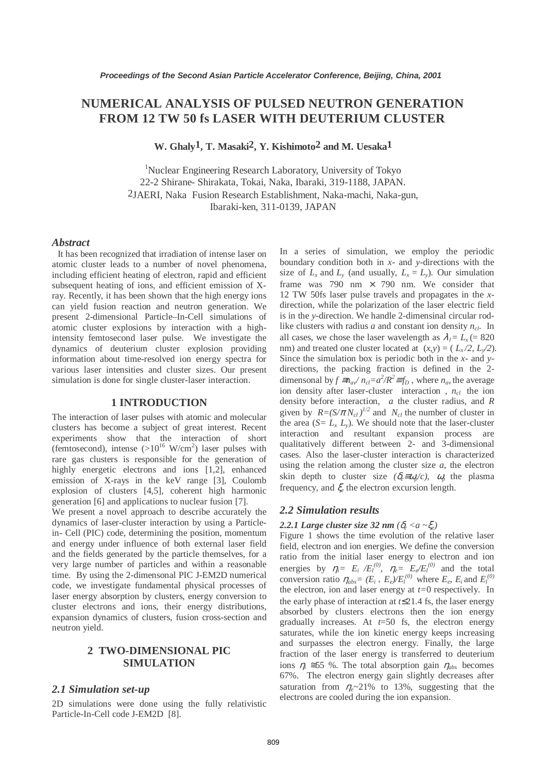# **NUMERICAL ANALYSIS OF PULSED NEUTRON GENERATION FROM 12 TW 50 fs LASER WITH DEUTERIUM CLUSTER**

**W. Ghaly1, T. Masaki2, Y. Kishimoto2 and M. Uesaka1**

<sup>1</sup>Nuclear Engineering Research Laboratory, University of Tokyo 22-2 Shirane- Shirakata, Tokai, Naka, Ibaraki, 319-1188, JAPAN. 2JAERI, Naka Fusion Research Establishment, Naka-machi, Naka-gun, Ibaraki-ken, 311-0139, JAPAN

## *Abstract*

It has been recognized that irradiation of intense laser on atomic cluster leads to a number of novel phenomena, including efficient heating of electron, rapid and efficient subsequent heating of ions, and efficient emission of Xray. Recently, it has been shown that the high energy ions can yield fusion reaction and neutron generation. We present 2-dimensional Particle–In-Cell simulations of atomic cluster explosions by interaction with a highintensity femtosecond laser pulse. We investigate the dynamics of deuterium cluster explosion providing information about time-resolved ion energy spectra for various laser intensities and cluster sizes. Our present simulation is done for single cluster-laser interaction.

## **1 INTRODUCTION**

The interaction of laser pulses with atomic and molecular clusters has become a subject of great interest. Recent experiments show that the interaction of short (femtosecond), intense  $(>10^{16} \text{ W/cm}^2)$  laser pulses with rare gas clusters is responsible for the generation of highly energetic electrons and ions [1,2], enhanced emission of X-rays in the keV range [3], Coulomb explosion of clusters [4,5], coherent high harmonic generation [6] and applications to nuclear fusion [7].

We present a novel approach to describe accurately the dynamics of laser-cluster interaction by using a Particlein- Cell (PIC) code, determining the position, momentum and energy under influence of both external laser field and the fields generated by the particle themselves, for a very large number of particles and within a reasonable time. By using the 2-dimensonal PIC J-EM2D numerical code, we investigate fundamental physical processes of laser energy absorption by clusters, energy conversion to cluster electrons and ions, their energy distributions, expansion dynamics of clusters, fusion cross-section and neutron yield.

# **2 TWO-DIMENSIONAL PIC SIMULATION**

## *2.1 Simulation set-up*

2D simulations were done using the fully relativistic Particle-In-Cell code J-EM2D [8].

In a series of simulation, we employ the periodic boundary condition both in *x-* and *y-*directions with the size of  $L_x$  and  $L_y$  (and usually,  $L_x = L_y$ ). Our simulation frame was 790 nm  $\times$  790 nm. We consider that 12 TW 50fs laser pulse travels and propagates in the *x*direction, while the polarization of the laser electric field is in the *y-*direction. We handle 2-dimensinal circular rodlike clusters with radius *a* and constant ion density  $n_{cl}$ . In all cases, we chose the laser wavelength as  $\lambda_l = L_x = 820$ nm) and treated one cluster located at  $(x, y) = (L_x/2, L_y/2)$ . Since the simulation box is periodic both in the *x-* and *y*directions, the packing fraction is defined in the 2 dimensonal by  $f \equiv n_a \sqrt{n_c} = a^2/R^2 \equiv f_D$ , where  $n_a$  the average ion density after laser-cluster interaction,  $n_{cl}$  the ion density before interaction, *a* the cluster radius, and *R* given by  $R = (S/\pi N_{cl})^{1/2}$  and  $N_{cl}$  the number of cluster in the area  $(S = L_x L_y)$ . We should note that the laser-cluster interaction and resultant expansion process are qualitatively different between 2- and 3-dimensional cases. Also the laser-cluster interaction is characterized using the relation among the cluster size *a*, the electron skin depth to cluster size  $(\delta_e \equiv \omega_p/c)$ ,  $\omega_p$  the plasma frequency, and ξ*<sup>e</sup>* the electron excursion length*.*

## *2.2 Simulation results*

#### 2.2.1 Large cluster size 32 nm  $(\delta_e < a < \xi_e)$

Figure 1 shows the time evolution of the relative laser field, electron and ion energies. We define the conversion ratio from the initial laser energy to electron and ion energies by  $\eta_i = E_i / E_l^{(0)}$ ,  $\eta_e = E_e / E_l^{(0)}$  and the total conversion ratio  $\eta_{abs} = (E_i + E_e)/E_l^{(0)}$  where  $E_e$ ,  $E_i$  and  $E_l^{(0)}$ the electron, ion and laser energy at *t=*0 respectively. In the early phase of interaction at *t*≤21.4 fs, the laser energy absorbed by clusters electrons then the ion energy gradually increases. At *t*=50 fs, the electron energy saturates, while the ion kinetic energy keeps increasing and surpasses the electron energy. Finally, the large fraction of the laser energy is transferred to deuterium ions  $\eta_i \approx 55$  %. The total absorption gain  $\eta_{abs}$  becomes 67%. The electron energy gain slightly decreases after saturation from  $\eta_e \sim 21\%$  to 13%, suggesting that the electrons are cooled during the ion expansion.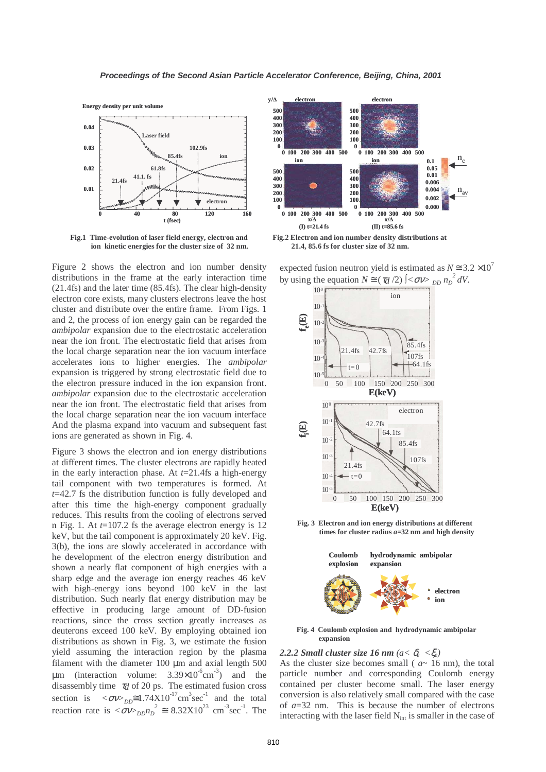

**Fig.1 Time-evolution of laser field energy, electron and ion kinetic energies for the cluster size of 32 nm.**

Figure 2 shows the electron and ion number density distributions in the frame at the early interaction time (21.4fs) and the later time (85.4fs). The clear high-density electron core exists, many clusters electrons leave the host cluster and distribute over the entire frame. From Figs. 1 and 2, the process of ion energy gain can be regarded the *ambipolar* expansion due to the electrostatic acceleration near the ion front. The electrostatic field that arises from the local charge separation near the ion vacuum interface accelerates ions to higher energies. The *ambipolar* expansion is triggered by strong electrostatic field due to the electron pressure induced in the ion expansion front. *ambipolar* expansion due to the electrostatic acceleration near the ion front. The electrostatic field that arises from the local charge separation near the ion vacuum interface And the plasma expand into vacuum and subsequent fast ions are generated as shown in Fig. 4.

Figure 3 shows the electron and ion energy distributions at different times. The cluster electrons are rapidly heated in the early interaction phase. At *t*=21.4fs a high-energy tail component with two temperatures is formed. At *t*=42.7 fs the distribution function is fully developed and after this time the high-energy component gradually reduces. This results from the cooling of electrons served n Fig. 1*.* At *t*=107.2 fs the average electron energy is 12 keV, but the tail component is approximately 20 keV. Fig. 3(b), the ions are slowly accelerated in accordance with he development of the electron energy distribution and shown a nearly flat component of high energies with a sharp edge and the average ion energy reaches 46 keV with high-energy ions beyond 100 keV in the last distribution. Such nearly flat energy distribution may be effective in producing large amount of DD-fusion reactions, since the cross section greatly increases as deuterons exceed 100 keV. By employing obtained ion distributions as shown in Fig. 3, we estimate the fusion yield assuming the interaction region by the plasma filament with the diameter  $100 \mu m$  and axial length  $500$  $\mu$ m (interaction volume: 3.39×10<sup>-6</sup>cm<sup>-3</sup>) and the disassembly time <sup>τ</sup>*d* of 20 ps. The estimated fusion cross section is  $\langle \sigma v \rangle_{DD} \approx 1.74 \times 10^{-17} \text{ cm}^3 \text{ sec}^{-1}$  and the total reaction rate is  $\langle \sigma v \rangle_{DD} n_D^2 \approx 8.32 \times 10^{23} \text{ cm}^3 \text{sec}^1$ . The



**Fig.2 Electron and ion number density distributions at 21.4, 85.6 fs for cluster size of 32 nm.**

expected fusion neutron yield is estimated as  $N \approx 3.2 \times 10^7$ by using the equation  $N \cong (\tau_d/2) \int <\sigma v >_{DD} n_D^2 dV$ .



**Fig. 3 Electron and ion energy distributions at different times for cluster radius** *a***=32 nm and high density**



**Fig. 4 Coulomb explosion and hydrodynamic ambipolar expansion**

## 2.2.2 Small cluster size 16 nm  $(a < \delta_e < \xi_e)$

As the cluster size becomes small ( *a*~ 16 nm), the total particle number and corresponding Coulomb energy contained per cluster become small. The laser energy conversion is also relatively small compared with the case of *a*=32 nm. This is because the number of electrons interacting with the laser field  $N<sub>int</sub>$  is smaller in the case of